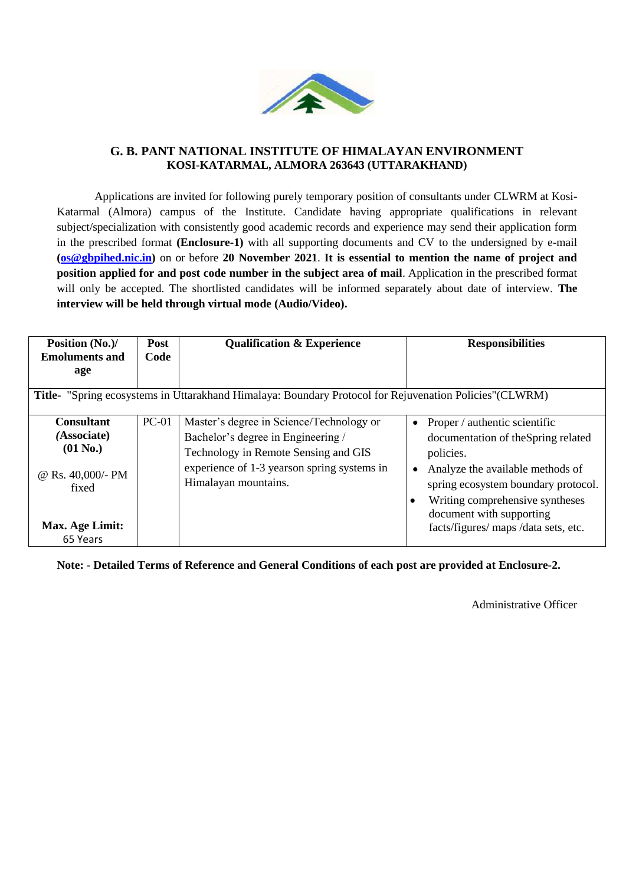

#### **G. B. PANT NATIONAL INSTITUTE OF HIMALAYAN ENVIRONMENT KOSI-KATARMAL, ALMORA 263643 (UTTARAKHAND)**

Applications are invited for following purely temporary position of consultants under CLWRM at Kosi-Katarmal (Almora) campus of the Institute. Candidate having appropriate qualifications in relevant subject/specialization with consistently good academic records and experience may send their application form in the prescribed format **(Enclosure-1)** with all supporting documents and CV to the undersigned by e-mail **[\(os@gbpihed.nic.in\)](mailto:os@gbpihed.nic.in)** on or before **20 November 2021**. **It is essential to mention the name of project and position applied for and post code number in the subject area of mail**. Application in the prescribed format will only be accepted. The shortlisted candidates will be informed separately about date of interview. **The interview will be held through virtual mode (Audio/Video).**

| Position (No.)/<br><b>Post</b><br><b>Emoluments and</b><br>Code                                                |              | <b>Qualification &amp; Experience</b>        | <b>Responsibilities</b>                      |  |  |  |
|----------------------------------------------------------------------------------------------------------------|--------------|----------------------------------------------|----------------------------------------------|--|--|--|
| age                                                                                                            |              |                                              |                                              |  |  |  |
| <b>Title-</b> "Spring ecosystems in Uttarakhand Himalaya: Boundary Protocol for Rejuvenation Policies" (CLWRM) |              |                                              |                                              |  |  |  |
| <b>Consultant</b>                                                                                              | <b>PC-01</b> | Master's degree in Science/Technology or     | Proper / authentic scientific                |  |  |  |
| (Associate)                                                                                                    |              | Bachelor's degree in Engineering /           | documentation of the Spring related          |  |  |  |
| $(01$ No.)                                                                                                     |              | Technology in Remote Sensing and GIS         | policies.                                    |  |  |  |
| @ Rs. 40,000/- PM<br>fixed                                                                                     |              | experience of 1-3 years on spring systems in | Analyze the available methods of             |  |  |  |
|                                                                                                                |              | Himalayan mountains.                         | spring ecosystem boundary protocol.          |  |  |  |
|                                                                                                                |              |                                              | Writing comprehensive syntheses<br>$\bullet$ |  |  |  |
|                                                                                                                |              |                                              | document with supporting                     |  |  |  |
| Max. Age Limit:                                                                                                |              |                                              | facts/figures/ maps/data sets, etc.          |  |  |  |
| 65 Years                                                                                                       |              |                                              |                                              |  |  |  |

**Note: - Detailed Terms of Reference and General Conditions of each post are provided at Enclosure-2.** 

Administrative Officer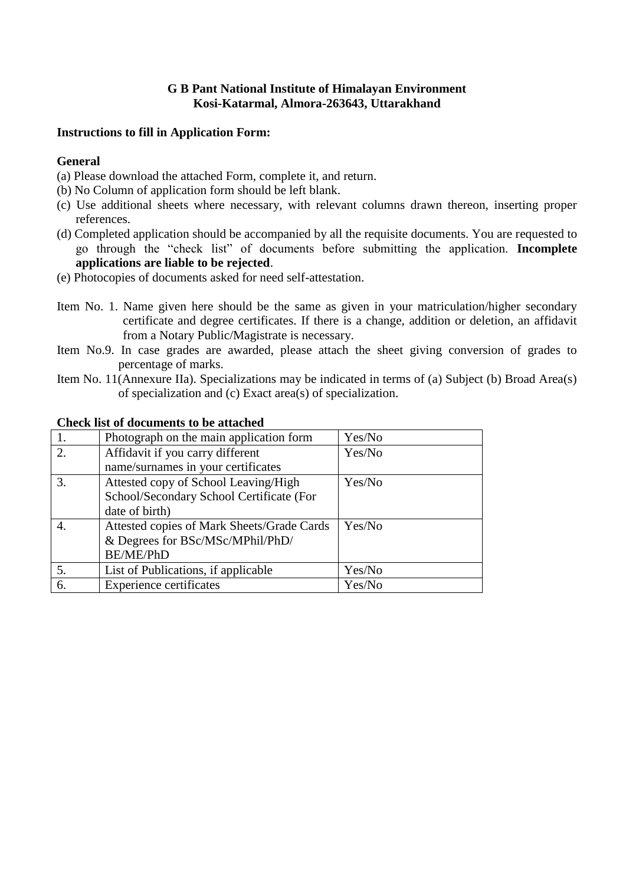### **G B Pant National Institute of Himalayan Environment Kosi-Katarmal, Almora-263643, Uttarakhand**

#### **Instructions to fill in Application Form:**

#### **General**

- (a) Please download the attached Form, complete it, and return.
- (b) No Column of application form should be left blank.
- (c) Use additional sheets where necessary, with relevant columns drawn thereon, inserting proper references.
- (d) Completed application should be accompanied by all the requisite documents. You are requested to go through the "check list" of documents before submitting the application. **Incomplete applications are liable to be rejected**.
- (e) Photocopies of documents asked for need self-attestation.
- Item No. 1. Name given here should be the same as given in your matriculation/higher secondary certificate and degree certificates. If there is a change, addition or deletion, an affidavit from a Notary Public/Magistrate is necessary.
- Item No.9. In case grades are awarded, please attach the sheet giving conversion of grades to percentage of marks.
- Item No. 11(Annexure IIa). Specializations may be indicated in terms of (a) Subject (b) Broad Area(s) of specialization and (c) Exact area(s) of specialization.

|    | Photograph on the main application form    | Yes/No |
|----|--------------------------------------------|--------|
| 2. | Affidavit if you carry different           | Yes/No |
|    | name/surnames in your certificates         |        |
| 3. | Attested copy of School Leaving/High       | Yes/No |
|    | School/Secondary School Certificate (For   |        |
|    | date of birth)                             |        |
| 4. | Attested copies of Mark Sheets/Grade Cards | Yes/No |
|    | & Degrees for BSc/MSc/MPhil/PhD/           |        |
|    | <b>BE/ME/PhD</b>                           |        |
| 5. | List of Publications, if applicable        | Yes/No |
| 6. | <b>Experience certificates</b>             | Yes/No |

#### **Check list of documents to be attached**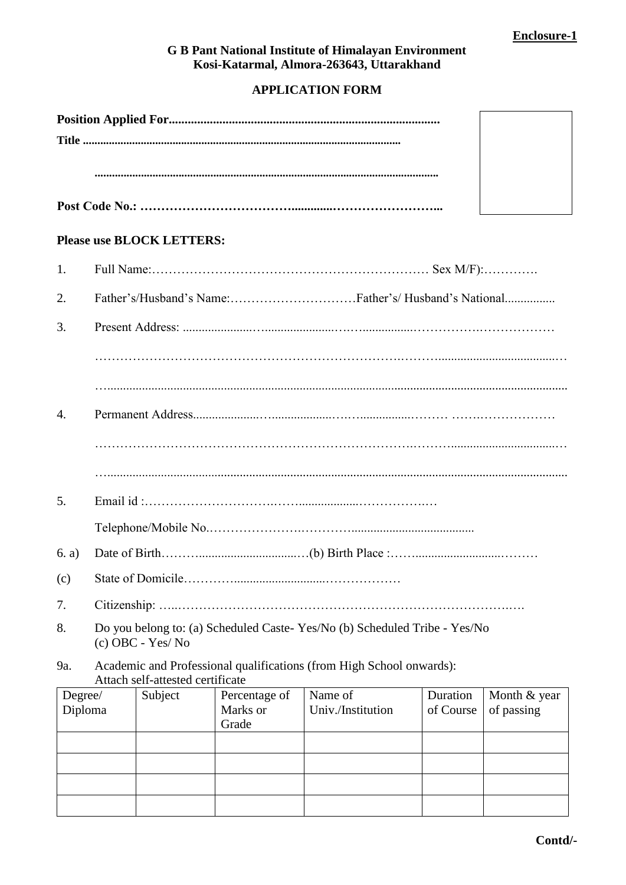### **G B Pant National Institute of Himalayan Environment Kosi-Katarmal, Almora-263643, Uttarakhand**

# **APPLICATION FORM**

#### **Please use BLOCK LETTERS:**

| 1.                 |                                                                                                          |         |                                    |                              |                       |                            |
|--------------------|----------------------------------------------------------------------------------------------------------|---------|------------------------------------|------------------------------|-----------------------|----------------------------|
| 2.                 |                                                                                                          |         |                                    |                              |                       |                            |
| 3.                 |                                                                                                          |         |                                    |                              |                       |                            |
|                    |                                                                                                          |         |                                    |                              |                       |                            |
|                    |                                                                                                          |         |                                    |                              |                       |                            |
| $\overline{4}$ .   |                                                                                                          |         |                                    |                              |                       |                            |
|                    |                                                                                                          |         |                                    |                              |                       |                            |
|                    |                                                                                                          |         |                                    |                              |                       |                            |
| 5.                 |                                                                                                          |         |                                    |                              |                       |                            |
|                    |                                                                                                          |         |                                    |                              |                       |                            |
| 6. a)              |                                                                                                          |         |                                    |                              |                       |                            |
| (c)                |                                                                                                          |         |                                    |                              |                       |                            |
| 7.                 |                                                                                                          |         |                                    |                              |                       |                            |
| 8.                 | Do you belong to: (a) Scheduled Caste-Yes/No (b) Scheduled Tribe - Yes/No<br>(c) OBC - Yes/No            |         |                                    |                              |                       |                            |
| 9a.                | Academic and Professional qualifications (from High School onwards):<br>Attach self-attested certificate |         |                                    |                              |                       |                            |
| Degree/<br>Diploma |                                                                                                          | Subject | Percentage of<br>Marks or<br>Grade | Name of<br>Univ./Institution | Duration<br>of Course | Month & year<br>of passing |
|                    |                                                                                                          |         |                                    |                              |                       |                            |
|                    |                                                                                                          |         |                                    |                              |                       |                            |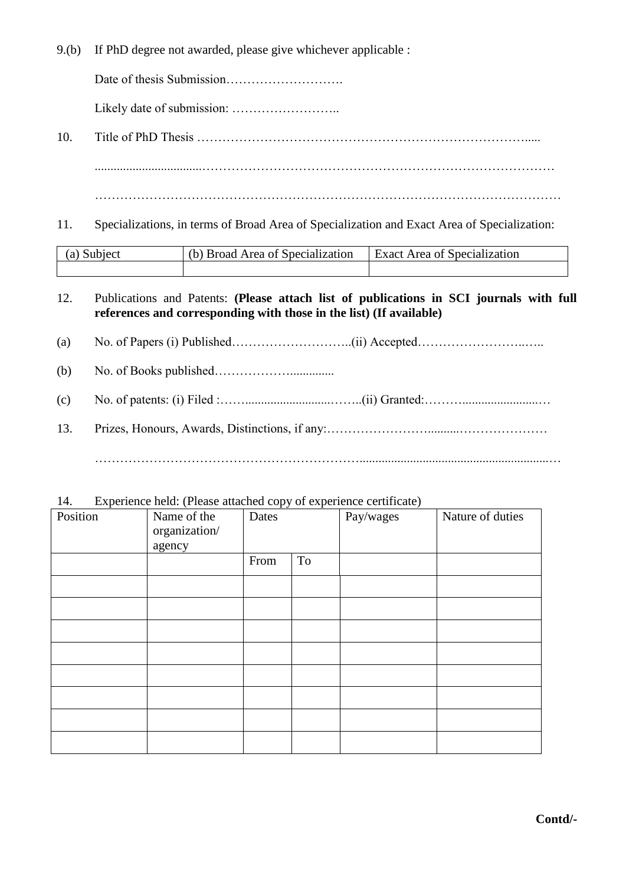9.(b) If PhD degree not awarded, please give whichever applicable :

Date of thesis Submission……………………….

Likely date of submission: ……………………..

- 10. Title of PhD Thesis ……………………………………………………………………..... ..................................………………………………………………………………………… …………………………………………………………………………………………………
- 11. Specializations, in terms of Broad Area of Specialization and Exact Area of Specialization:

| $(a)$ $\infty$<br>Subject | (b) Broad Area of Specialization | <b>Exact Area of Specialization</b> |  |
|---------------------------|----------------------------------|-------------------------------------|--|
|                           |                                  |                                     |  |

- 12. Publications and Patents: **(Please attach list of publications in SCI journals with full references and corresponding with those in the list) (If available)**
- (a) No. of Papers (i) Published………………………..(ii) Accepted……………………..…..
- (b) No. of Books published………………..............
- (c) No. of patents: (i) Filed :……...........................……..(ii) Granted:………........................…
- 13. Prizes, Honours, Awards, Distinctions, if any:……………………..........………………… ………………………………………………………............................................................…

| Position | Name of the<br>organization/<br>agency | Dates |    | Pay/wages | Nature of duties |
|----------|----------------------------------------|-------|----|-----------|------------------|
|          |                                        | From  | To |           |                  |
|          |                                        |       |    |           |                  |
|          |                                        |       |    |           |                  |
|          |                                        |       |    |           |                  |
|          |                                        |       |    |           |                  |
|          |                                        |       |    |           |                  |
|          |                                        |       |    |           |                  |
|          |                                        |       |    |           |                  |
|          |                                        |       |    |           |                  |

14. Experience held: (Please attached copy of experience certificate)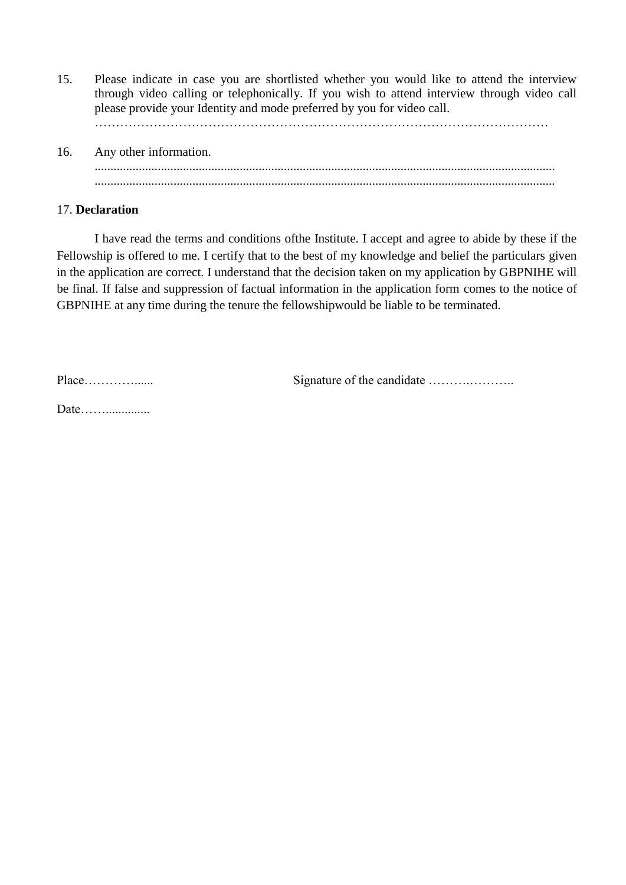15. Please indicate in case you are shortlisted whether you would like to attend the interview through video calling or telephonically. If you wish to attend interview through video call please provide your Identity and mode preferred by you for video call.

………………………………………………………………………………………………

16. Any other information. .................................................................................................................................................. ..................................................................................................................................................

#### 17. **Declaration**

I have read the terms and conditions ofthe Institute. I accept and agree to abide by these if the Fellowship is offered to me. I certify that to the best of my knowledge and belief the particulars given in the application are correct. I understand that the decision taken on my application by GBPNIHE will be final. If false and suppression of factual information in the application form comes to the notice of GBPNIHE at any time during the tenure the fellowshipwould be liable to be terminated.

Place…………...... Signature of the candidate ……….………..

Date………………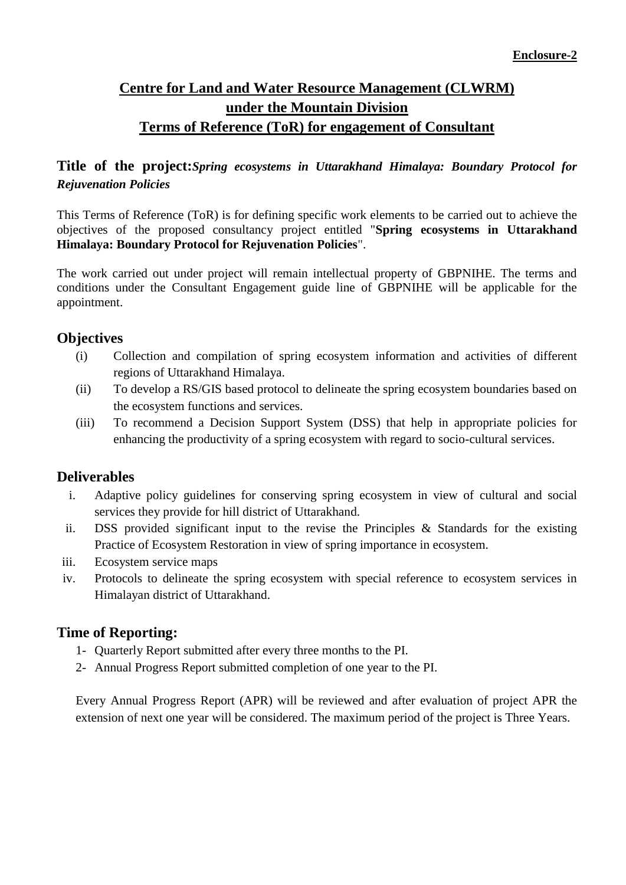# **Centre for Land and Water Resource Management (CLWRM) under the Mountain Division Terms of Reference (ToR) for engagement of Consultant**

# **Title of the project:***Spring ecosystems in Uttarakhand Himalaya: Boundary Protocol for Rejuvenation Policies*

This Terms of Reference (ToR) is for defining specific work elements to be carried out to achieve the objectives of the proposed consultancy project entitled "**Spring ecosystems in Uttarakhand Himalaya: Boundary Protocol for Rejuvenation Policies**".

The work carried out under project will remain intellectual property of GBPNIHE. The terms and conditions under the Consultant Engagement guide line of GBPNIHE will be applicable for the appointment.

## **Objectives**

- (i) Collection and compilation of spring ecosystem information and activities of different regions of Uttarakhand Himalaya.
- (ii) To develop a RS/GIS based protocol to delineate the spring ecosystem boundaries based on the ecosystem functions and services.
- (iii) To recommend a Decision Support System (DSS) that help in appropriate policies for enhancing the productivity of a spring ecosystem with regard to socio-cultural services.

### **Deliverables**

- i. Adaptive policy guidelines for conserving spring ecosystem in view of cultural and social services they provide for hill district of Uttarakhand.
- ii. DSS provided significant input to the revise the Principles & Standards for the existing Practice of Ecosystem Restoration in view of spring importance in ecosystem.
- iii. Ecosystem service maps
- iv. Protocols to delineate the spring ecosystem with special reference to ecosystem services in Himalayan district of Uttarakhand.

# **Time of Reporting:**

- 1- Quarterly Report submitted after every three months to the PI.
- 2- Annual Progress Report submitted completion of one year to the PI.

Every Annual Progress Report (APR) will be reviewed and after evaluation of project APR the extension of next one year will be considered. The maximum period of the project is Three Years.